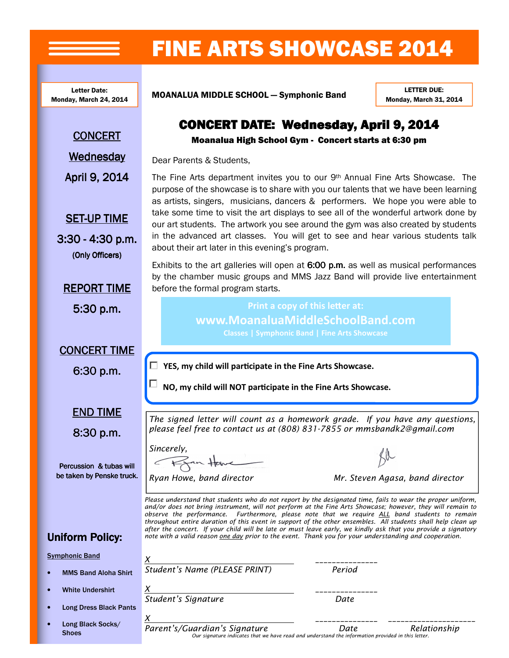## FINE ARTS SHOWCASE 2014

The Fine Arts department invites you to our 9th Annual Fine Arts Showcase. The purpose of the showcase is to share with you our talents that we have been learning as artists, singers, musicians, dancers & performers. We hope you were able to take some time to visit the art displays to see all of the wonderful artwork done by our art students. The artwork you see around the gym was also created by students in the advanced art classes. You will get to see and hear various students talk

CONCERT DATE: Wednesday, April 9, 2014 Moanalua High School Gym - Concert starts at 6:30 pm

Exhibits to the art galleries will open at  $6:00$  p.m. as well as musical performances by the chamber music groups and MMS Jazz Band will provide live entertainment

> Print a copy of this letter at: www.MoanaluaMiddleSchoolBand.com

Monday, March 24, 2014

Letter Date:<br>w Moreb 24, 2014 MOANALUA MIDDLE SCHOOL - Symphonic Band

about their art later in this evening's program.

before the formal program starts.

LETTER DUE: Monday, March 31, 2014

**CONCERT** 

**Wednesday** 

April 9, 2014

**SET-UP TIME** 

 $3:30 - 4:30$  p.m. (Only Officers)

**REPORT TIME** 

5:30 p.m.

**CONCERT TIME** 

6:30 p.m.

□

**END TIME** 

 $8:30$  p.m.

Percussion & tubas will be taken by Penske truck. Sincerely, From Have

Dear Parents & Students,

Ryan Howe, band director **Mr.** Steven Agasa, band director

Please understand that students who do not report by the designated time, fails to wear the proper uniform, and/or does not bring instrument, will not perform at the Fine Arts Showcase; however, they will remain to observe the performance. Furthermore, please note that we require ALL band students to remain throughout entire duration of this event in support of the other ensembles. All students shall help clean up after the concert. If your child will be late or must leave early, we kindly ask that you provide a signatory note with a valid reason one day prior to the event. Thank you for your understanding and cooperation.

The signed letter will count as a homework grade. If you have any questions, please feel free to contact us at (808) 831-7855 or mmsbandk2@gmail.com

NO, my child will NOT participate in the Fine Arts Showcase.

 $\Box$  YES, my child will participate in the Fine Arts Showcase.

X \_\_\_\_\_\_\_\_\_\_\_\_\_\_\_ Student's Name (PLEASE PRINT) Period

X \_\_\_\_\_\_\_\_\_\_\_\_\_\_\_ Student's Signature **Date** 

## Uniform Policy:

Symphonic Band

- MMS Band Aloha Shirt
- White Undershirt
- Long Dress Black Pants
- Long Black Socks/ **Shoes**

 $\chi$  , and the set of the set of the set of the set of the set of the set of the set of the set of the set of the set of the set of the set of the set of the set of the set of the set of the set of the set of the set of t

Parent's/Guardian's Signature The Date Relationship Our signature indicates that we have read and understand the information provided in this letter.